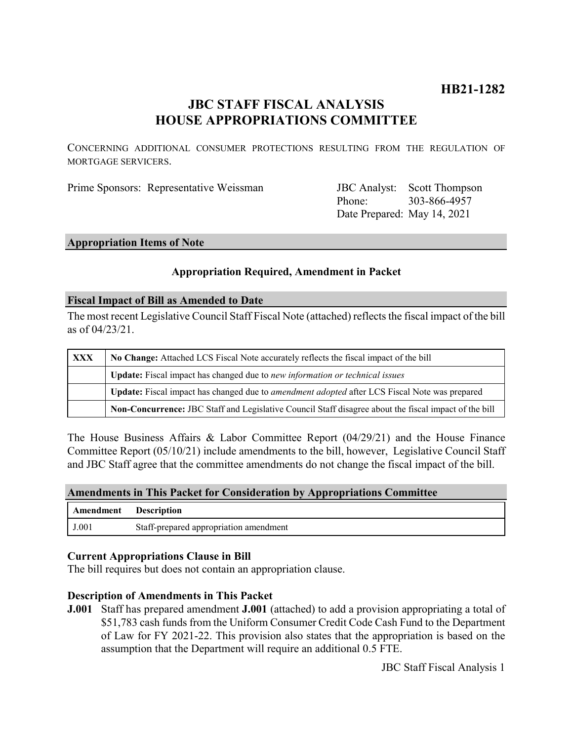# **HB21-1282**

## **JBC STAFF FISCAL ANALYSIS HOUSE APPROPRIATIONS COMMITTEE**

CONCERNING ADDITIONAL CONSUMER PROTECTIONS RESULTING FROM THE REGULATION OF MORTGAGE SERVICERS.

| Prime Sponsors: Representative Weissman | <b>JBC</b> Analyst: Scott Thompson |
|-----------------------------------------|------------------------------------|
|                                         |                                    |

Phone: Date Prepared: May 14, 2021 303-866-4957

#### **Appropriation Items of Note**

## **Appropriation Required, Amendment in Packet**

#### **Fiscal Impact of Bill as Amended to Date**

The most recent Legislative Council Staff Fiscal Note (attached) reflects the fiscal impact of the bill as of 04/23/21.

| XXX | No Change: Attached LCS Fiscal Note accurately reflects the fiscal impact of the bill                 |  |
|-----|-------------------------------------------------------------------------------------------------------|--|
|     | Update: Fiscal impact has changed due to new information or technical issues                          |  |
|     | Update: Fiscal impact has changed due to amendment adopted after LCS Fiscal Note was prepared         |  |
|     | Non-Concurrence: JBC Staff and Legislative Council Staff disagree about the fiscal impact of the bill |  |

The House Business Affairs & Labor Committee Report (04/29/21) and the House Finance Committee Report (05/10/21) include amendments to the bill, however, Legislative Council Staff and JBC Staff agree that the committee amendments do not change the fiscal impact of the bill.

### **Amendments in This Packet for Consideration by Appropriations Committee**

| Amendment | <b>Exercise Exercise 1</b>             |
|-----------|----------------------------------------|
| J.001     | Staff-prepared appropriation amendment |

#### **Current Appropriations Clause in Bill**

The bill requires but does not contain an appropriation clause.

#### **Description of Amendments in This Packet**

**J.001** Staff has prepared amendment **J.001** (attached) to add a provision appropriating a total of \$51,783 cash funds from the Uniform Consumer Credit Code Cash Fund to the Department of Law for FY 2021-22. This provision also states that the appropriation is based on the assumption that the Department will require an additional 0.5 FTE.

JBC Staff Fiscal Analysis 1